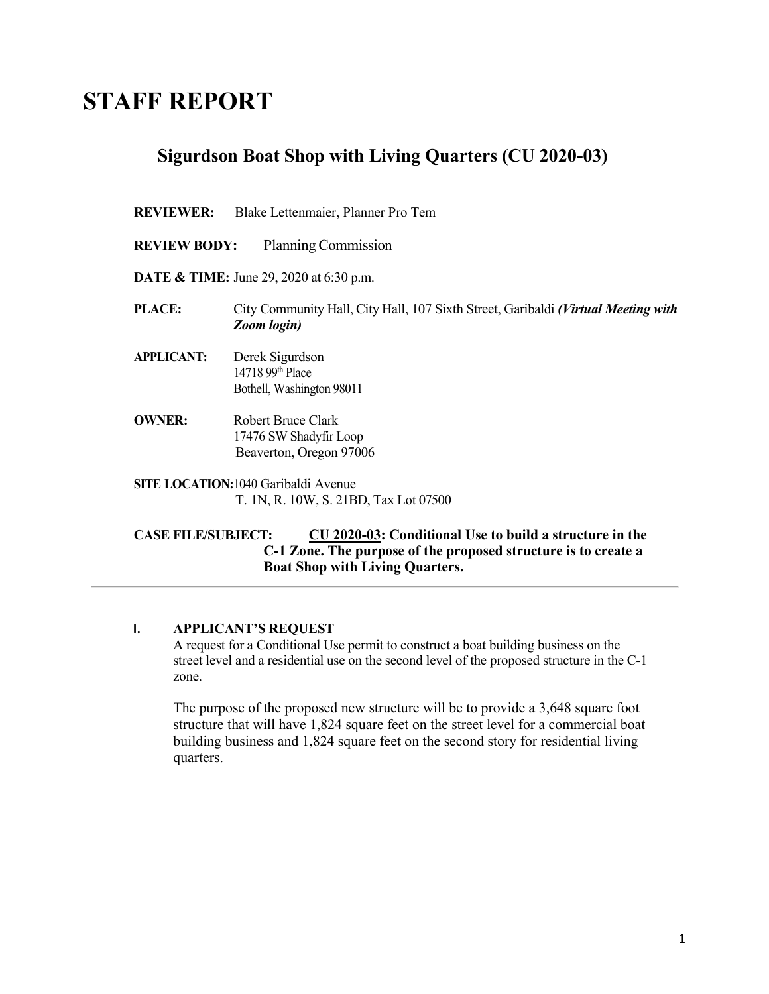# **STAFF REPORT**

# **Sigurdson Boat Shop with Living Quarters (CU 2020-03)**

#### **REVIEWER:** Blake Lettenmaier, Planner Pro Tem

- **REVIEW BODY:** Planning Commission
- **DATE & TIME:** June 29, 2020 at 6:30 p.m.
- **PLACE:** City Community Hall, City Hall, 107 Sixth Street, Garibaldi *(Virtual Meeting with Zoom login)*
- **APPLICANT:** Derek Sigurdson 14718 99th Place Bothell, Washington 98011
- **OWNER:** Robert Bruce Clark 17476 SW Shadyfir Loop Beaverton, Oregon 97006
- **SITE LOCATION:**1040 Garibaldi Avenue T. 1N, R. 10W, S. 21BD, Tax Lot 07500

#### **CASE FILE/SUBJECT: CU 2020-03: Conditional Use to build a structure in the C-1 Zone. The purpose of the proposed structure is to create a Boat Shop with Living Quarters.**

#### **I. APPLICANT'S REQUEST**

A request for a Conditional Use permit to construct a boat building business on the street level and a residential use on the second level of the proposed structure in the C-1 zone.

The purpose of the proposed new structure will be to provide a 3,648 square foot structure that will have 1,824 square feet on the street level for a commercial boat building business and 1,824 square feet on the second story for residential living quarters.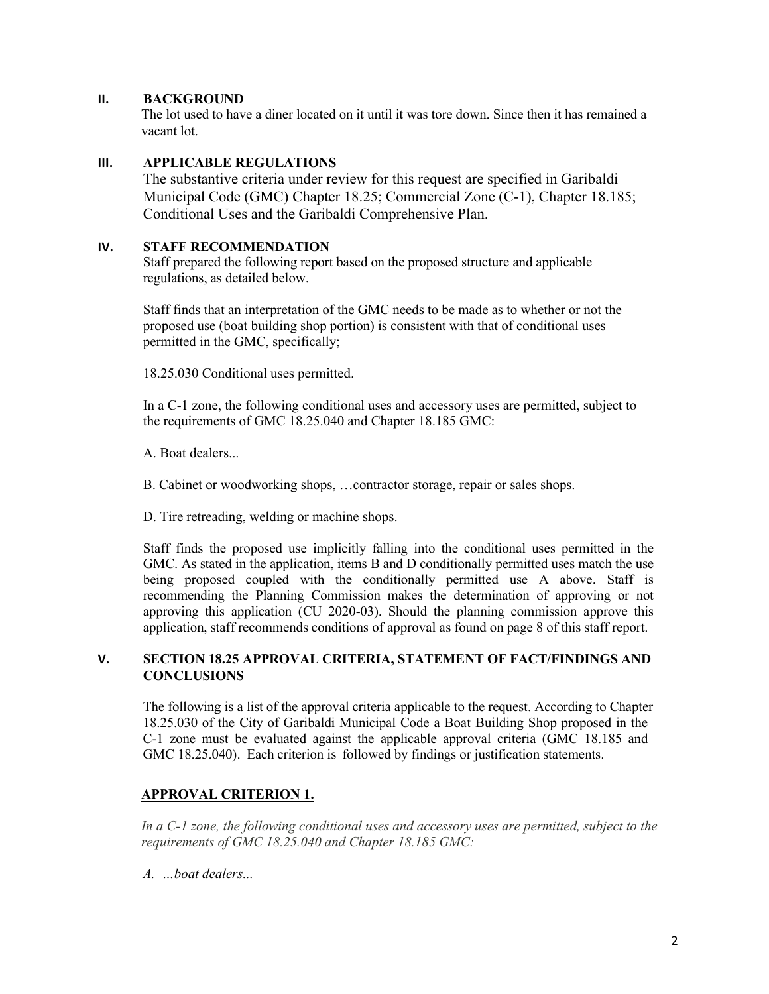#### **II. BACKGROUND**

The lot used to have a diner located on it until it was tore down. Since then it has remained a vacant lot.

#### **III. APPLICABLE REGULATIONS**

The substantive criteria under review for this request are specified in Garibaldi Municipal Code (GMC) Chapter 18.25; Commercial Zone (C-1), Chapter 18.185; Conditional Uses and the Garibaldi Comprehensive Plan.

## **IV. STAFF RECOMMENDATION**

Staff prepared the following report based on the proposed structure and applicable regulations, as detailed below.

Staff finds that an interpretation of the GMC needs to be made as to whether or not the proposed use (boat building shop portion) is consistent with that of conditional uses permitted in the GMC, specifically;

18.25.030 Conditional uses permitted.

In a C-1 zone, the following conditional uses and accessory uses are permitted, subject to the requirements of GMC 18.25.040 and Chapter 18.185 GMC:

A. Boat dealers...

B. Cabinet or woodworking shops, …contractor storage, repair or sales shops.

D. Tire retreading, welding or machine shops.

Staff finds the proposed use implicitly falling into the conditional uses permitted in the GMC. As stated in the application, items B and D conditionally permitted uses match the use being proposed coupled with the conditionally permitted use A above. Staff is recommending the Planning Commission makes the determination of approving or not approving this application (CU 2020-03). Should the planning commission approve this application, staff recommends conditions of approval as found on page 8 of this staff report.

### **V. SECTION 18.25 APPROVAL CRITERIA, STATEMENT OF FACT/FINDINGS AND CONCLUSIONS**

The following is a list of the approval criteria applicable to the request. According to Chapter 18.25.030 of the City of Garibaldi Municipal Code a Boat Building Shop proposed in the C-1 zone must be evaluated against the applicable approval criteria (GMC 18.185 and GMC 18.25.040). Each criterion is followed by findings or justification statements.

# **APPROVAL CRITERION 1.**

*In a C-1 zone, the following conditional uses and accessory uses are permitted, subject to the requirements of GMC 18.25.040 and Chapter 18.185 GMC:*

*A. …boat dealers...*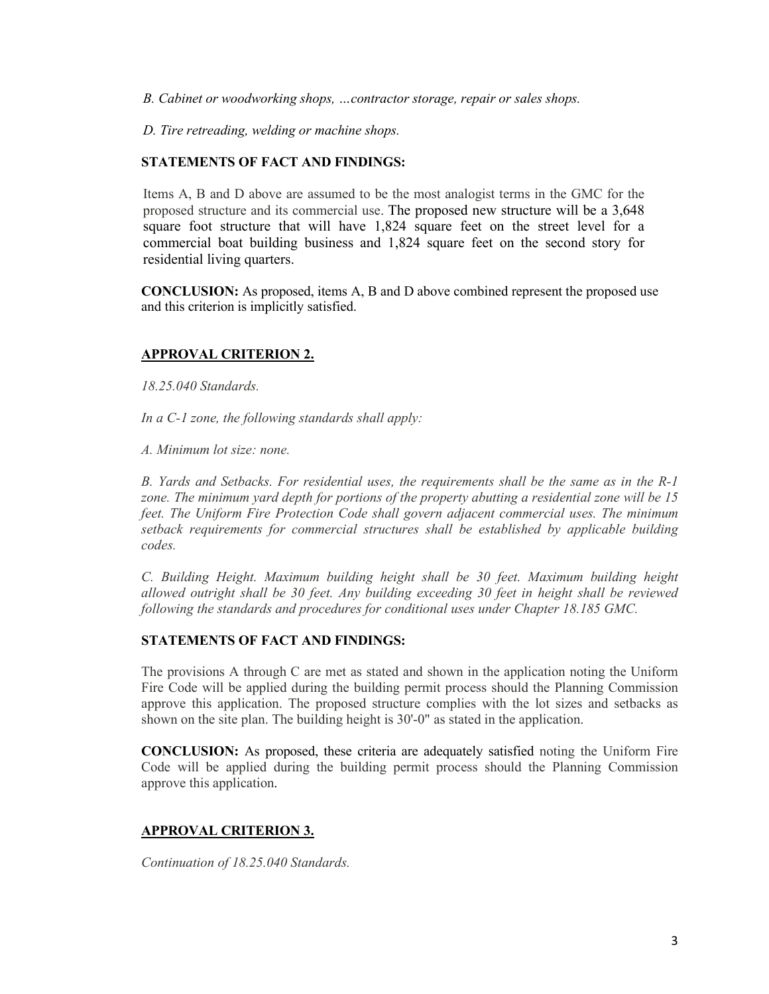*B. Cabinet or woodworking shops, …contractor storage, repair or sales shops.*

*D. Tire retreading, welding or machine shops.*

#### **STATEMENTS OF FACT AND FINDINGS:**

Items A, B and D above are assumed to be the most analogist terms in the GMC for the proposed structure and its commercial use. The proposed new structure will be a 3,648 square foot structure that will have 1,824 square feet on the street level for a commercial boat building business and 1,824 square feet on the second story for residential living quarters.

**CONCLUSION:** As proposed, items A, B and D above combined represent the proposed use and this criterion is implicitly satisfied.

#### **APPROVAL CRITERION 2.**

*18.25.040 Standards.*

*In a C-1 zone, the following standards shall apply:*

*A. Minimum lot size: none.*

*B. Yards and Setbacks. For residential uses, the requirements shall be the same as in the R-1 zone. The minimum yard depth for portions of the property abutting a residential zone will be 15 feet. The Uniform Fire Protection Code shall govern adjacent commercial uses. The minimum setback requirements for commercial structures shall be established by applicable building codes.*

*C. Building Height. Maximum building height shall be 30 feet. Maximum building height allowed outright shall be 30 feet. Any building exceeding 30 feet in height shall be reviewed following the standards and procedures for conditional uses under Chapter 18.185 GMC.*

#### **STATEMENTS OF FACT AND FINDINGS:**

The provisions A through C are met as stated and shown in the application noting the Uniform Fire Code will be applied during the building permit process should the Planning Commission approve this application. The proposed structure complies with the lot sizes and setbacks as shown on the site plan. The building height is 30'-0" as stated in the application.

**CONCLUSION:** As proposed, these criteria are adequately satisfied noting the Uniform Fire Code will be applied during the building permit process should the Planning Commission approve this application.

#### **APPROVAL CRITERION 3.**

*Continuation of 18.25.040 Standards.*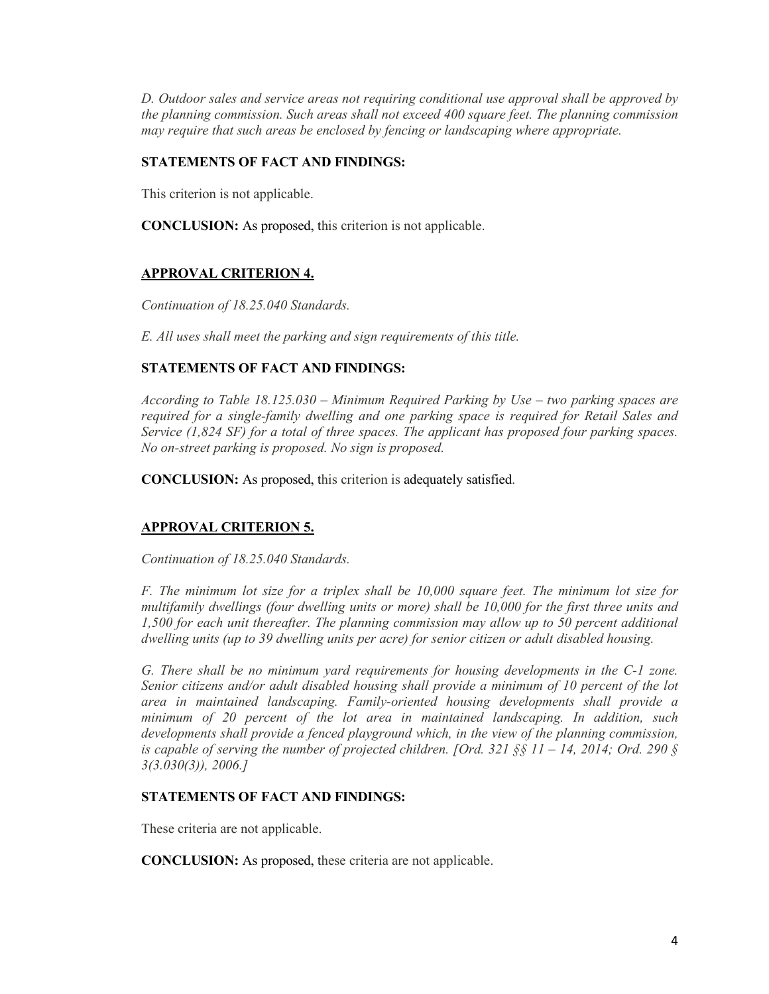*D. Outdoor sales and service areas not requiring conditional use approval shall be approved by the planning commission. Such areas shall not exceed 400 square feet. The planning commission may require that such areas be enclosed by fencing or landscaping where appropriate.*

# **STATEMENTS OF FACT AND FINDINGS:**

This criterion is not applicable.

**CONCLUSION:** As proposed, this criterion is not applicable.

# **APPROVAL CRITERION 4.**

*Continuation of 18.25.040 Standards.*

*E. All uses shall meet the parking and sign requirements of this title.*

# **STATEMENTS OF FACT AND FINDINGS:**

*According to Table 18.125.030 – Minimum Required Parking by Use – two parking spaces are required for a single-family dwelling and one parking space is required for Retail Sales and Service (1,824 SF) for a total of three spaces. The applicant has proposed four parking spaces. No on-street parking is proposed. No sign is proposed.*

**CONCLUSION:** As proposed, this criterion is adequately satisfied.

# **APPROVAL CRITERION 5.**

*Continuation of 18.25.040 Standards.*

*F. The minimum lot size for a triplex shall be 10,000 square feet. The minimum lot size for multifamily dwellings (four dwelling units or more) shall be 10,000 for the first three units and 1,500 for each unit thereafter. The planning commission may allow up to 50 percent additional dwelling units (up to 39 dwelling units per acre) for senior citizen or adult disabled housing.*

*G. There shall be no minimum yard requirements for housing developments in the C-1 zone. Senior citizens and/or adult disabled housing shall provide a minimum of 10 percent of the lot area in maintained landscaping. Family-oriented housing developments shall provide a minimum of 20 percent of the lot area in maintained landscaping. In addition, such developments shall provide a fenced playground which, in the view of the planning commission, is capable of serving the number of projected children. [Ord. 321 §§ 11 – 14, 2014; Ord. 290 § 3(3.030(3)), 2006.]*

# **STATEMENTS OF FACT AND FINDINGS:**

These criteria are not applicable.

**CONCLUSION:** As proposed, these criteria are not applicable.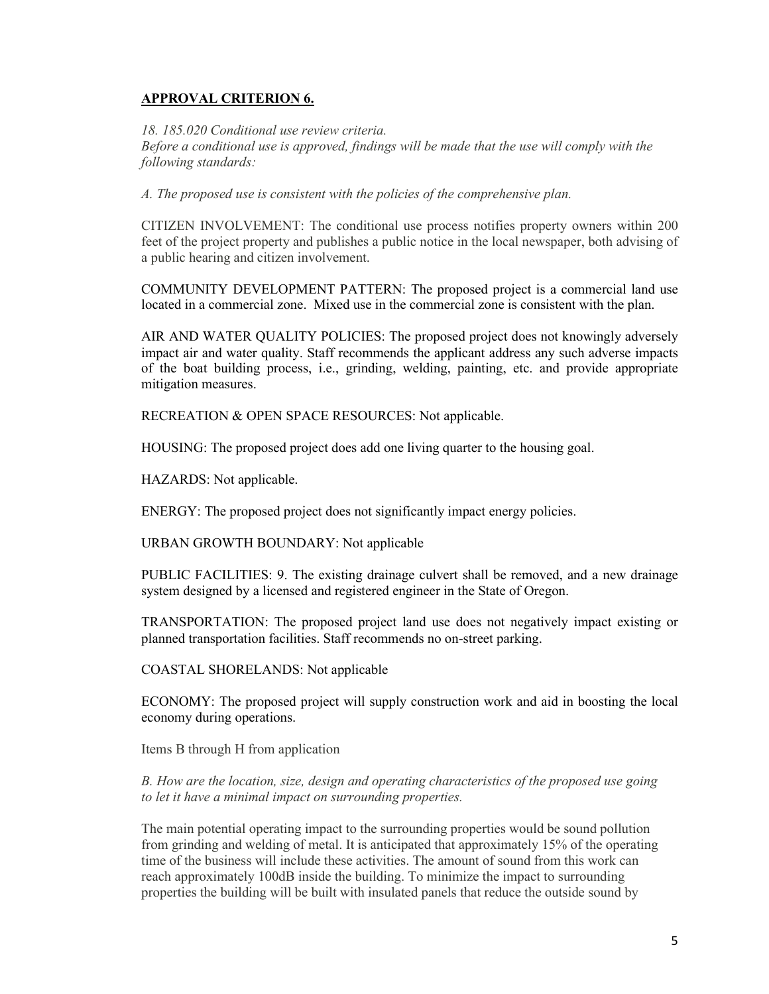# **APPROVAL CRITERION 6.**

*18. 185.020 Conditional use review criteria.*

*Before a conditional use is approved, findings will be made that the use will comply with the following standards:*

*A. The proposed use is consistent with the policies of the comprehensive plan.*

CITIZEN INVOLVEMENT: The conditional use process notifies property owners within 200 feet of the project property and publishes a public notice in the local newspaper, both advising of a public hearing and citizen involvement.

COMMUNITY DEVELOPMENT PATTERN: The proposed project is a commercial land use located in a commercial zone. Mixed use in the commercial zone is consistent with the plan.

AIR AND WATER QUALITY POLICIES: The proposed project does not knowingly adversely impact air and water quality. Staff recommends the applicant address any such adverse impacts of the boat building process, i.e., grinding, welding, painting, etc. and provide appropriate mitigation measures.

RECREATION & OPEN SPACE RESOURCES: Not applicable.

HOUSING: The proposed project does add one living quarter to the housing goal.

HAZARDS: Not applicable.

ENERGY: The proposed project does not significantly impact energy policies.

URBAN GROWTH BOUNDARY: Not applicable

PUBLIC FACILITIES: 9. The existing drainage culvert shall be removed, and a new drainage system designed by a licensed and registered engineer in the State of Oregon.

TRANSPORTATION: The proposed project land use does not negatively impact existing or planned transportation facilities. Staff recommends no on-street parking.

COASTAL SHORELANDS: Not applicable

ECONOMY: The proposed project will supply construction work and aid in boosting the local economy during operations.

Items B through H from application

*B. How are the location, size, design and operating characteristics of the proposed use going to let it have a minimal impact on surrounding properties.*

The main potential operating impact to the surrounding properties would be sound pollution from grinding and welding of metal. It is anticipated that approximately 15% of the operating time of the business will include these activities. The amount of sound from this work can reach approximately 100dB inside the building. To minimize the impact to surrounding properties the building will be built with insulated panels that reduce the outside sound by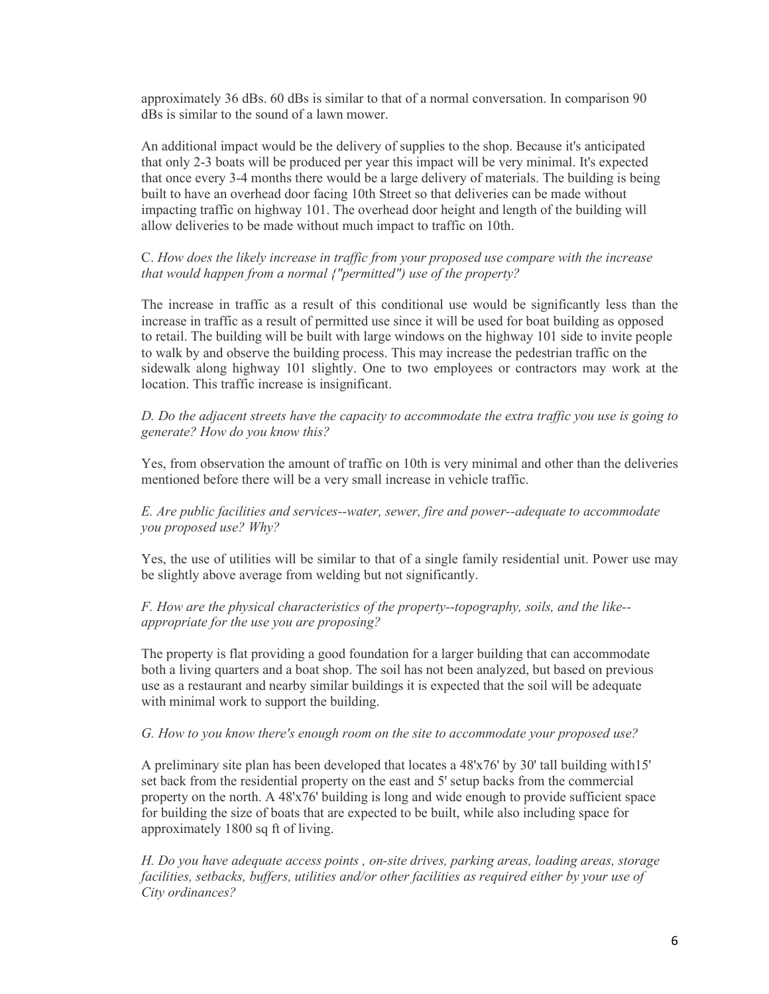approximately 36 dBs. 60 dBs is similar to that of a normal conversation. In comparison 90 dBs is similar to the sound of a lawn mower.

An additional impact would be the delivery of supplies to the shop. Because it's anticipated that only 2-3 boats will be produced per year this impact will be very minimal. It's expected that once every 3-4 months there would be a large delivery of materials. The building is being built to have an overhead door facing 10th Street so that deliveries can be made without impacting traffic on highway 101. The overhead door height and length of the building will allow deliveries to be made without much impact to traffic on 10th.

# C. *How does the likely increase in traffic from your proposed use compare with the increase that would happen from a normal {"permitted") use of the property?*

The increase in traffic as a result of this conditional use would be significantly less than the increase in traffic as a result of permitted use since it will be used for boat building as opposed to retail. The building will be built with large windows on the highway 101 side to invite people to walk by and observe the building process. This may increase the pedestrian traffic on the sidewalk along highway 101 slightly. One to two employees or contractors may work at the location. This traffic increase is insignificant.

*D. Do the adjacent streets have the capacity to accommodate the extra traffic you use is going to generate? How do you know this?*

Yes, from observation the amount of traffic on 10th is very minimal and other than the deliveries mentioned before there will be a very small increase in vehicle traffic.

*E. Are public facilities and services--water, sewer, fire and power--adequate to accommodate you proposed use? Why?*

Yes, the use of utilities will be similar to that of a single family residential unit. Power use may be slightly above average from welding but not significantly.

*F. How are the physical characteristics of the property--topography, soils, and the like- appropriate for the use you are proposing?*

The property is flat providing a good foundation for a larger building that can accommodate both a living quarters and a boat shop. The soil has not been analyzed, but based on previous use as a restaurant and nearby similar buildings it is expected that the soil will be adequate with minimal work to support the building.

#### *G. How to you know there's enough room on the site to accommodate your proposed use?*

A preliminary site plan has been developed that locates a 48'x76' by 30' tall building with15' set back from the residential property on the east and 5' setup backs from the commercial property on the north. A 48'x76' building is long and wide enough to provide sufficient space for building the size of boats that are expected to be built, while also including space for approximately 1800 sq ft of living.

*H. Do you have adequate access points , on-site drives, parking areas, loading areas, storage facilities, setbacks, buffers, utilities and/or other facilities as required either by your use of City ordinances?*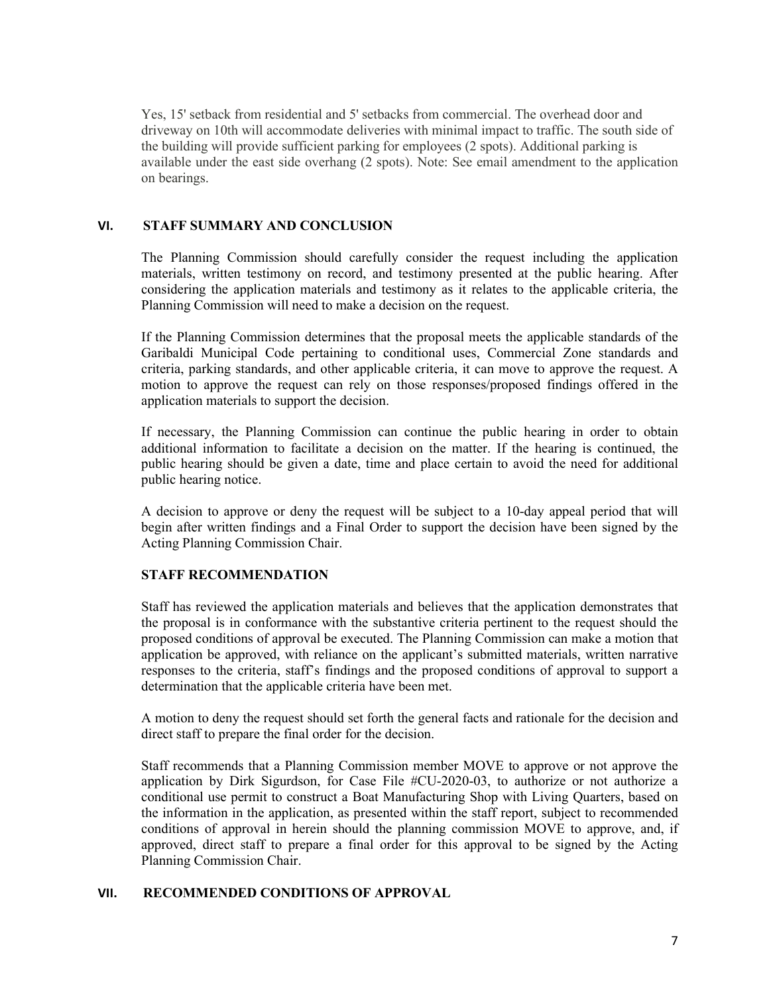Yes, 15' setback from residential and 5' setbacks from commercial. The overhead door and driveway on 10th will accommodate deliveries with minimal impact to traffic. The south side of the building will provide sufficient parking for employees (2 spots). Additional parking is available under the east side overhang (2 spots). Note: See email amendment to the application on bearings.

#### **VI. STAFF SUMMARY AND CONCLUSION**

The Planning Commission should carefully consider the request including the application materials, written testimony on record, and testimony presented at the public hearing. After considering the application materials and testimony as it relates to the applicable criteria, the Planning Commission will need to make a decision on the request.

If the Planning Commission determines that the proposal meets the applicable standards of the Garibaldi Municipal Code pertaining to conditional uses, Commercial Zone standards and criteria, parking standards, and other applicable criteria, it can move to approve the request. A motion to approve the request can rely on those responses/proposed findings offered in the application materials to support the decision.

If necessary, the Planning Commission can continue the public hearing in order to obtain additional information to facilitate a decision on the matter. If the hearing is continued, the public hearing should be given a date, time and place certain to avoid the need for additional public hearing notice.

A decision to approve or deny the request will be subject to a 10-day appeal period that will begin after written findings and a Final Order to support the decision have been signed by the Acting Planning Commission Chair.

#### **STAFF RECOMMENDATION**

Staff has reviewed the application materials and believes that the application demonstrates that the proposal is in conformance with the substantive criteria pertinent to the request should the proposed conditions of approval be executed. The Planning Commission can make a motion that application be approved, with reliance on the applicant's submitted materials, written narrative responses to the criteria, staff's findings and the proposed conditions of approval to support a determination that the applicable criteria have been met.

A motion to deny the request should set forth the general facts and rationale for the decision and direct staff to prepare the final order for the decision.

Staff recommends that a Planning Commission member MOVE to approve or not approve the application by Dirk Sigurdson, for Case File #CU-2020-03, to authorize or not authorize a conditional use permit to construct a Boat Manufacturing Shop with Living Quarters, based on the information in the application, as presented within the staff report, subject to recommended conditions of approval in herein should the planning commission MOVE to approve, and, if approved, direct staff to prepare a final order for this approval to be signed by the Acting Planning Commission Chair.

#### **VII. RECOMMENDED CONDITIONS OF APPROVAL**